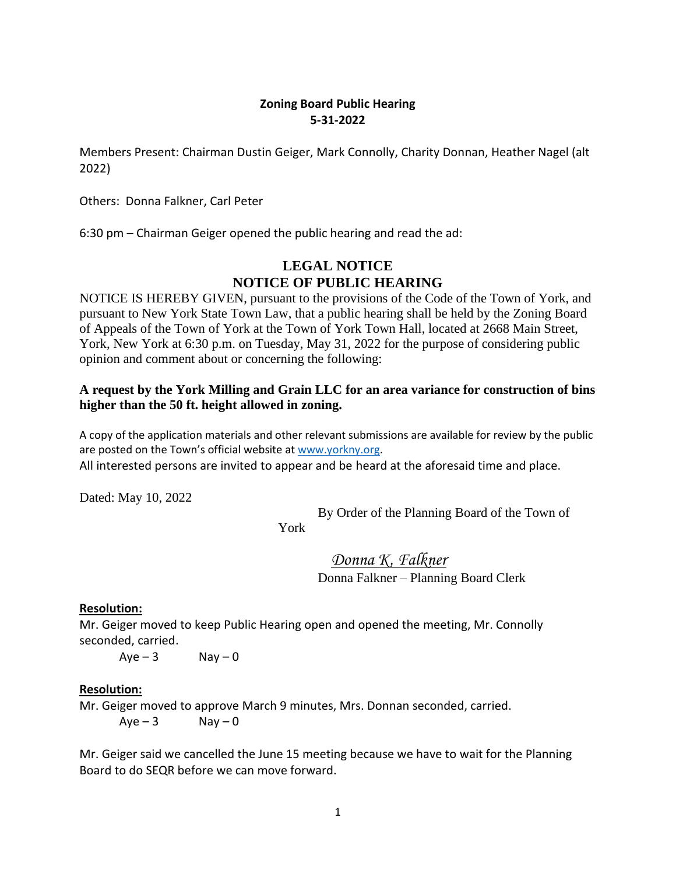## **Zoning Board Public Hearing 5-31-2022**

Members Present: Chairman Dustin Geiger, Mark Connolly, Charity Donnan, Heather Nagel (alt 2022)

Others: Donna Falkner, Carl Peter

6:30 pm – Chairman Geiger opened the public hearing and read the ad:

# **LEGAL NOTICE NOTICE OF PUBLIC HEARING**

NOTICE IS HEREBY GIVEN, pursuant to the provisions of the Code of the Town of York, and pursuant to New York State Town Law, that a public hearing shall be held by the Zoning Board of Appeals of the Town of York at the Town of York Town Hall, located at 2668 Main Street, York, New York at 6:30 p.m. on Tuesday, May 31, 2022 for the purpose of considering public opinion and comment about or concerning the following:

### **A request by the York Milling and Grain LLC for an area variance for construction of bins higher than the 50 ft. height allowed in zoning.**

A copy of the application materials and other relevant submissions are available for review by the public are posted on the Town's official website at [www.yorkny.org.](http://www.yorkny.org/) All interested persons are invited to appear and be heard at the aforesaid time and place.

Dated: May 10, 2022

By Order of the Planning Board of the Town of

York

 *Donna K. Falkner* Donna Falkner – Planning Board Clerk

### **Resolution:**

Mr. Geiger moved to keep Public Hearing open and opened the meeting, Mr. Connolly seconded, carried.

 $Aye-3$  Nay - 0

### **Resolution:**

Mr. Geiger moved to approve March 9 minutes, Mrs. Donnan seconded, carried.

 $Aye - 3$  Nay  $-0$ 

Mr. Geiger said we cancelled the June 15 meeting because we have to wait for the Planning Board to do SEQR before we can move forward.